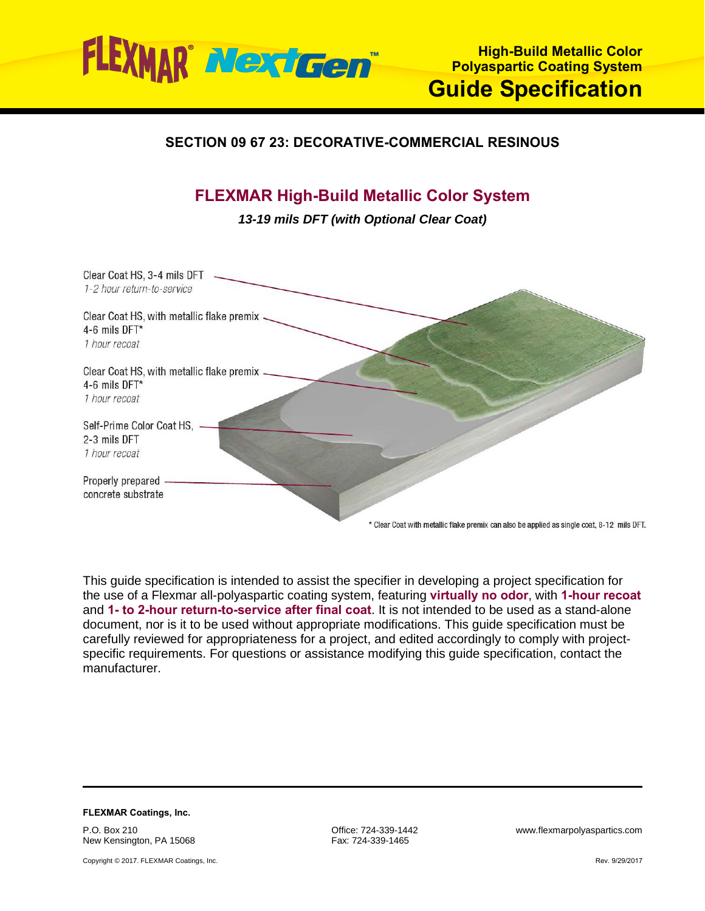

## **SECTION 09 67 23: DECORATIVE-COMMERCIAL RESINOUS**

# **FLEXMAR High-Build Metallic Color System**

*13-19 mils DFT (with Optional Clear Coat)*

| Clear Coat HS, 3-4 mils DFT<br>1-2 hour return-to-service                   |                                                                                            |
|-----------------------------------------------------------------------------|--------------------------------------------------------------------------------------------|
| Clear Coat HS, with metallic flake premix<br>4-6 mils DFT*<br>1 hour recoat |                                                                                            |
| Clear Coat HS, with metallic flake premix<br>4-6 mils DFT*<br>1 hour recoat |                                                                                            |
| Self-Prime Color Coat HS,<br>2-3 mils DFT<br>1 hour recoat                  |                                                                                            |
| Properly prepared<br>concrete substrate                                     | * Clear Coat with metallic flake premix can also be applied as single coat, 8-12 mils DFT. |

This guide specification is intended to assist the specifier in developing a project specification for the use of a Flexmar all-polyaspartic coating system, featuring **virtually no odor**, with **1-hour recoat** and **1- to 2-hour return-to-service after final coat**. It is not intended to be used as a stand-alone document, nor is it to be used without appropriate modifications. This guide specification must be carefully reviewed for appropriateness for a project, and edited accordingly to comply with projectspecific requirements. For questions or assistance modifying this guide specification, contact the manufacturer.

**FLEXMAR Coatings, Inc.** P.O. Box 210 New Kensington, PA 15068

Copyright © 2017. FLEXMAR Coatings, Inc.

Fax: 724-339-1465

Office: 724-339-1442 www.flexmarpolyaspartics.com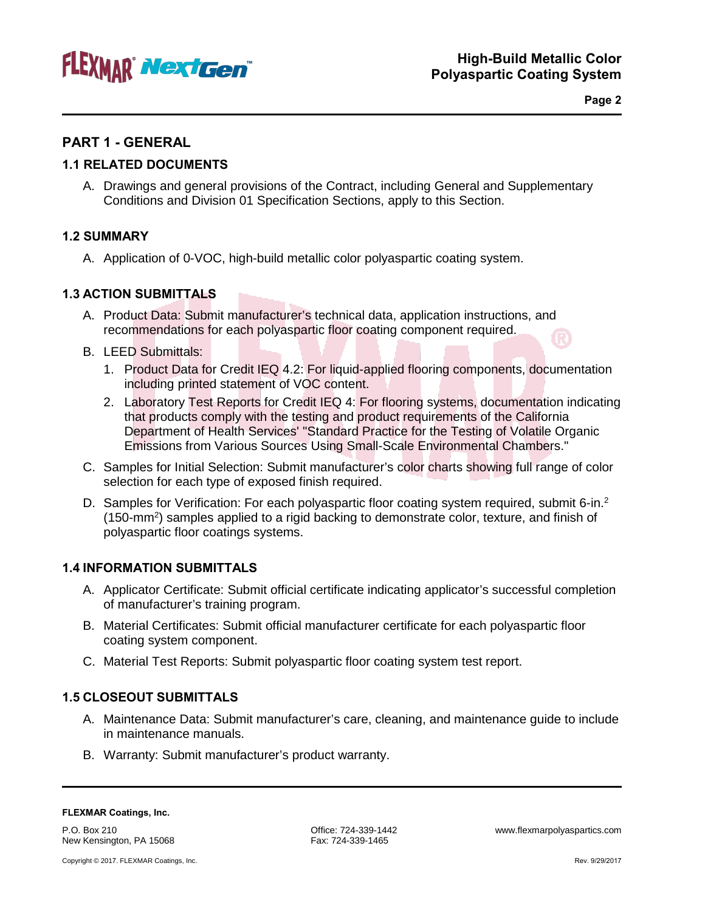

**Page 2**

## **PART 1 - GENERAL**

## **1.1 RELATED DOCUMENTS**

A. Drawings and general provisions of the Contract, including General and Supplementary Conditions and Division 01 Specification Sections, apply to this Section.

## **1.2 SUMMARY**

A. Application of 0-VOC, high-build metallic color polyaspartic coating system.

## **1.3 ACTION SUBMITTALS**

- A. Product Data: Submit manufacturer's technical data, application instructions, and recommendations for each polyaspartic floor coating component required.
- B. LEED Submittals:
	- 1. Product Data for Credit IEQ 4.2: For liquid-applied flooring components, documentation including printed statement of VOC content.
	- 2. Laboratory Test Reports for Credit IEQ 4: For flooring systems, documentation indicating that products comply with the testing and product requirements of the California Department of Health Services' "Standard Practice for the Testing of Volatile Organic Emissions from Various Sources Using Small-Scale Environmental Chambers."
- C. Samples for Initial Selection: Submit manufacturer's color charts showing full range of color selection for each type of exposed finish required.
- D. Samples for Verification: For each polyaspartic floor coating system required, submit 6-in.<sup>2</sup> (150-mm<sup>2</sup>) samples applied to a rigid backing to demonstrate color, texture, and finish of polyaspartic floor coatings systems.

## **1.4 INFORMATION SUBMITTALS**

- A. Applicator Certificate: Submit official certificate indicating applicator's successful completion of manufacturer's training program.
- B. Material Certificates: Submit official manufacturer certificate for each polyaspartic floor coating system component.
- C. Material Test Reports: Submit polyaspartic floor coating system test report.

## **1.5 CLOSEOUT SUBMITTALS**

- A. Maintenance Data: Submit manufacturer's care, cleaning, and maintenance guide to include in maintenance manuals.
- B. Warranty: Submit manufacturer's product warranty.

P.O. Box 210 New Kensington, PA 15068 Fax: 724-339-1465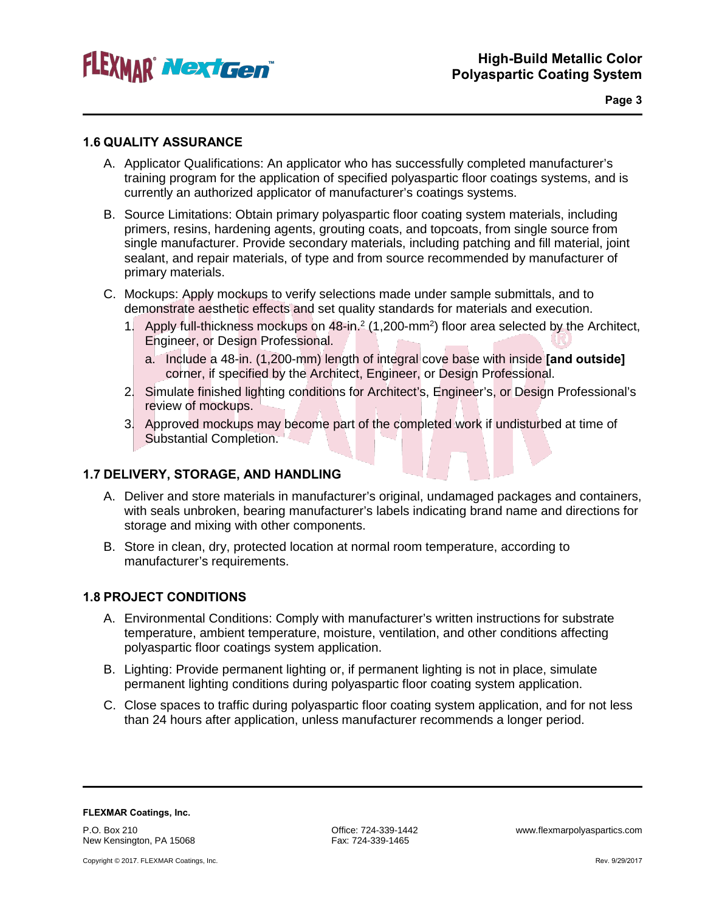

### **1.6 QUALITY ASSURANCE**

- A. Applicator Qualifications: An applicator who has successfully completed manufacturer's training program for the application of specified polyaspartic floor coatings systems, and is currently an authorized applicator of manufacturer's coatings systems.
- B. Source Limitations: Obtain primary polyaspartic floor coating system materials, including primers, resins, hardening agents, grouting coats, and topcoats, from single source from single manufacturer. Provide secondary materials, including patching and fill material, joint sealant, and repair materials, of type and from source recommended by manufacturer of primary materials.
- C. Mockups: Apply mockups to verify selections made under sample submittals, and to demonstrate aesthetic effects and set quality standards for materials and execution.
	- 1. Apply full-thickness mockups on 48-in.<sup>2</sup> (1,200-mm<sup>2</sup>) floor area selected by the Architect, Engineer, or Design Professional.
		- a. Include a 48-in. (1,200-mm) length of integral cove base with inside **[and outside]** corner, if specified by the Architect, Engineer, or Design Professional.
	- 2. Simulate finished lighting conditions for Architect's, Engineer's, or Design Professional's review of mockups.
	- 3. Approved mockups may become part of the completed work if undisturbed at time of Substantial Completion.

## **1.7 DELIVERY, STORAGE, AND HANDLING**

- A. Deliver and store materials in manufacturer's original, undamaged packages and containers, with seals unbroken, bearing manufacturer's labels indicating brand name and directions for storage and mixing with other components.
- B. Store in clean, dry, protected location at normal room temperature, according to manufacturer's requirements.

## **1.8 PROJECT CONDITIONS**

- A. Environmental Conditions: Comply with manufacturer's written instructions for substrate temperature, ambient temperature, moisture, ventilation, and other conditions affecting polyaspartic floor coatings system application.
- B. Lighting: Provide permanent lighting or, if permanent lighting is not in place, simulate permanent lighting conditions during polyaspartic floor coating system application.
- C. Close spaces to traffic during polyaspartic floor coating system application, and for not less than 24 hours after application, unless manufacturer recommends a longer period.

**FLEXMAR Coatings, Inc.** P.O. Box 210

New Kensington, PA 15068

Copyright © 2017. FLEXMAR Coatings, Inc.

Fax: 724-339-1465

Office: 724-339-1442 www.flexmarpolyaspartics.com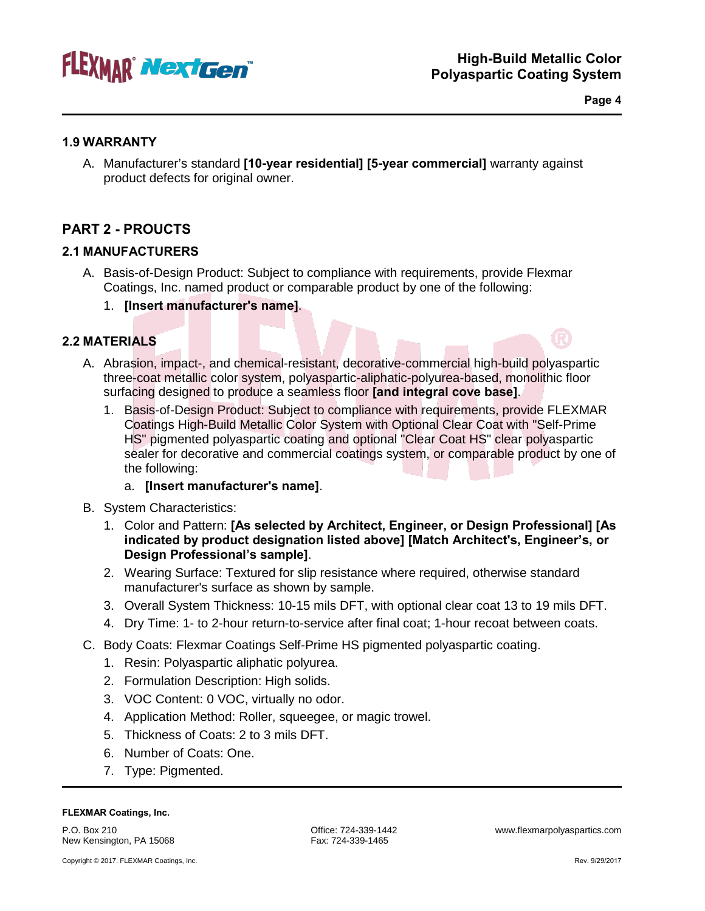

**Page 4**

## **1.9 WARRANTY**

A. Manufacturer's standard **[10-year residential] [5-year commercial]** warranty against product defects for original owner.

## **PART 2 - PROUCTS**

## **2.1 MANUFACTURERS**

- A. Basis-of-Design Product: Subject to compliance with requirements, provide Flexmar Coatings, Inc. named product or comparable product by one of the following:
	- 1. **[Insert manufacturer's name]**.

## **2.2 MATERIALS**

- A. Abrasion, impact-, and chemical-resistant, decorative-commercial high-build polyaspartic three-coat metallic color system, polyaspartic-aliphatic-polyurea-based, monolithic floor surfacing designed to produce a seamless floor **[and integral cove base]**.
	- 1. Basis-of-Design Product: Subject to compliance with requirements, provide FLEXMAR Coatings High-Build Metallic Color System with Optional Clear Coat with "Self-Prime HS" pigmented polyaspartic coating and optional "Clear Coat HS" clear polyaspartic sealer for decorative and commercial coatings system, or comparable product by one of the following:

## a. **[Insert manufacturer's name]**.

- B. System Characteristics:
	- 1. Color and Pattern: **[As selected by Architect, Engineer, or Design Professional] [As indicated by product designation listed above] [Match Architect's, Engineer's, or Design Professional's sample]**.
	- 2. Wearing Surface: Textured for slip resistance where required, otherwise standard manufacturer's surface as shown by sample.
	- 3. Overall System Thickness: 10-15 mils DFT, with optional clear coat 13 to 19 mils DFT.
	- 4. Dry Time: 1- to 2-hour return-to-service after final coat; 1-hour recoat between coats.
- C. Body Coats: Flexmar Coatings Self-Prime HS pigmented polyaspartic coating.
	- 1. Resin: Polyaspartic aliphatic polyurea.
	- 2. Formulation Description: High solids.
	- 3. VOC Content: 0 VOC, virtually no odor.
	- 4. Application Method: Roller, squeegee, or magic trowel.
	- 5. Thickness of Coats: 2 to 3 mils DFT.
	- 6. Number of Coats: One.
	- 7. Type: Pigmented.

#### **FLEXMAR Coatings, Inc.**

P.O. Box 210 New Kensington, PA 15068 Office: 724-339-1442 www.flexmarpolyaspartics.com Fax: 724-339-1465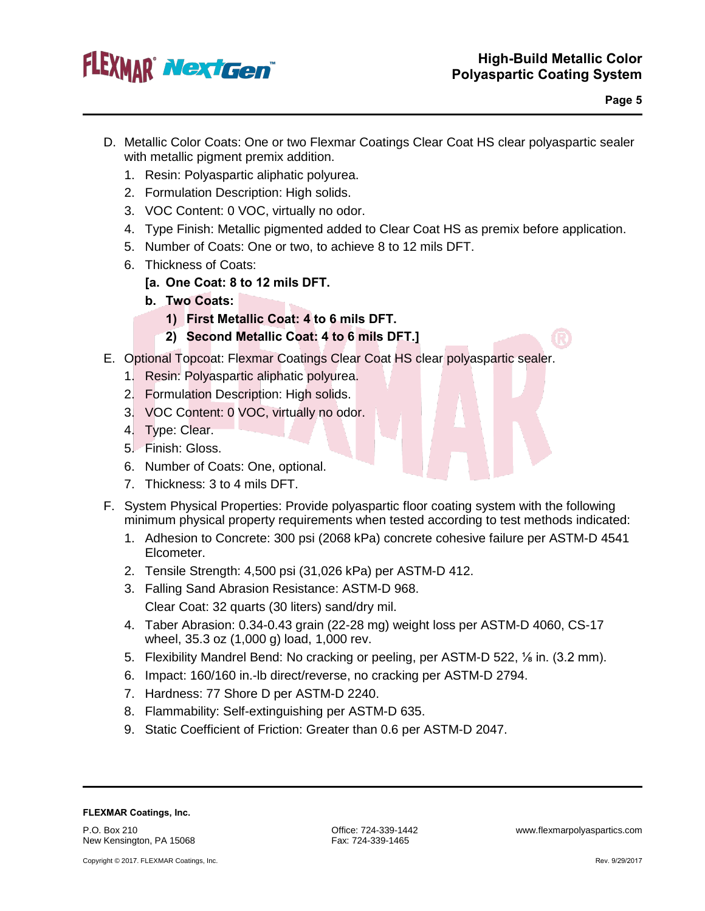

- D. Metallic Color Coats: One or two Flexmar Coatings Clear Coat HS clear polyaspartic sealer with metallic pigment premix addition.
	- 1. Resin: Polyaspartic aliphatic polyurea.
	- 2. Formulation Description: High solids.
	- 3. VOC Content: 0 VOC, virtually no odor.
	- 4. Type Finish: Metallic pigmented added to Clear Coat HS as premix before application.
	- 5. Number of Coats: One or two, to achieve 8 to 12 mils DFT.
	- 6. Thickness of Coats:
		- **[a. One Coat: 8 to 12 mils DFT.**
		- **b. Two Coats:**
			- **1) First Metallic Coat: 4 to 6 mils DFT.**
			- **2) Second Metallic Coat: 4 to 6 mils DFT.]**
- E. Optional Topcoat: Flexmar Coatings Clear Coat HS clear polyaspartic sealer.
	- 1. Resin: Polyaspartic aliphatic polyurea.
	- 2. Formulation Description: High solids.
	- 3. VOC Content: 0 VOC, virtually no odor.
	- 4. Type: Clear.
	- 5. Finish: Gloss.
	- 6. Number of Coats: One, optional.
	- 7. Thickness: 3 to 4 mils DFT.
- F. System Physical Properties: Provide polyaspartic floor coating system with the following minimum physical property requirements when tested according to test methods indicated:
	- 1. Adhesion to Concrete: 300 psi (2068 kPa) concrete cohesive failure per ASTM-D 4541 Elcometer.
	- 2. Tensile Strength: 4,500 psi (31,026 kPa) per ASTM-D 412.
	- 3. Falling Sand Abrasion Resistance: ASTM-D 968. Clear Coat: 32 quarts (30 liters) sand/dry mil.
	- 4. Taber Abrasion: 0.34-0.43 grain (22-28 mg) weight loss per ASTM-D 4060, CS-17 wheel, 35.3 oz (1,000 g) load, 1,000 rev.
	- 5. Flexibility Mandrel Bend: No cracking or peeling, per ASTM-D 522, ⅛ in. (3.2 mm).
	- 6. Impact: 160/160 in.-lb direct/reverse, no cracking per ASTM-D 2794.
	- 7. Hardness: 77 Shore D per ASTM-D 2240.
	- 8. Flammability: Self-extinguishing per ASTM-D 635.
	- 9. Static Coefficient of Friction: Greater than 0.6 per ASTM-D 2047.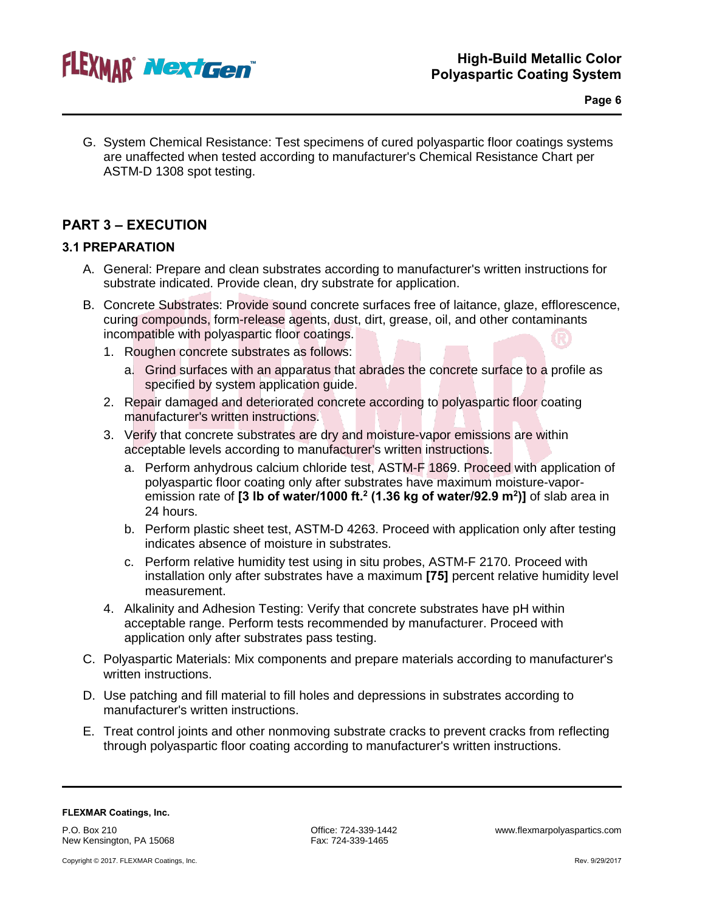

G. System Chemical Resistance: Test specimens of cured polyaspartic floor coatings systems are unaffected when tested according to manufacturer's Chemical Resistance Chart per ASTM-D 1308 spot testing.

## **PART 3 – EXECUTION**

## **3.1 PREPARATION**

- A. General: Prepare and clean substrates according to manufacturer's written instructions for substrate indicated. Provide clean, dry substrate for application.
- B. Concrete Substrates: Provide sound concrete surfaces free of laitance, glaze, efflorescence, curing compounds, form-release agents, dust, dirt, grease, oil, and other contaminants incompatible with polyaspartic floor coatings.
	- 1. Roughen concrete substrates as follows:
		- a. Grind surfaces with an apparatus that abrades the concrete surface to a profile as specified by system application guide.
	- 2. Repair damaged and deteriorated concrete according to polyaspartic floor coating manufacturer's written instructions.
	- 3. Verify that concrete substrates are dry and moisture-vapor emissions are within acceptable levels according to manufacturer's written instructions.
		- a. Perform anhydrous calcium chloride test, ASTM-F 1869. Proceed with application of polyaspartic floor coating only after substrates have maximum moisture-vaporemission rate of **[3 lb of water/1000 ft.2 (1.36 kg of water/92.9 m2 )]** of slab area in 24 hours.
		- b. Perform plastic sheet test, ASTM-D 4263. Proceed with application only after testing indicates absence of moisture in substrates.
		- c. Perform relative humidity test using in situ probes, ASTM-F 2170. Proceed with installation only after substrates have a maximum **[75]** percent relative humidity level measurement.
	- 4. Alkalinity and Adhesion Testing: Verify that concrete substrates have pH within acceptable range. Perform tests recommended by manufacturer. Proceed with application only after substrates pass testing.
- C. Polyaspartic Materials: Mix components and prepare materials according to manufacturer's written instructions.
- D. Use patching and fill material to fill holes and depressions in substrates according to manufacturer's written instructions.
- E. Treat control joints and other nonmoving substrate cracks to prevent cracks from reflecting through polyaspartic floor coating according to manufacturer's written instructions.

#### **FLEXMAR Coatings, Inc.**

P.O. Box 210 New Kensington, PA 15068